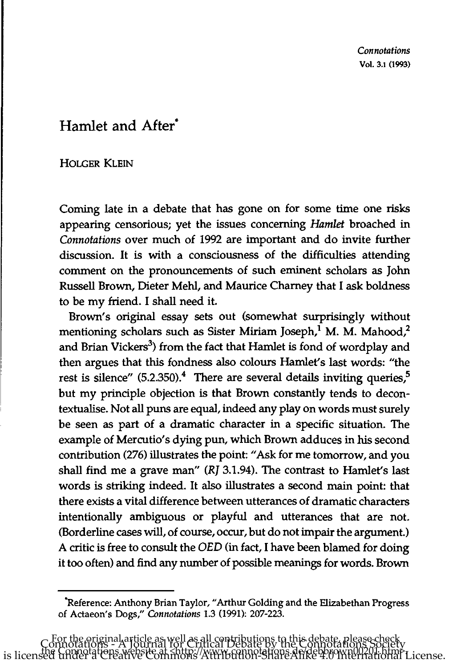## Hamlet and After·

## HOLGER KLEIN

Coming late in a debate that has gone on for some time one risks appearing censorious; yet the issues concerning *Hamlet* broached in *Connotations* over much of 1992 are important and do invite further discussion. It is with a consciousness of the difficulties attending comment on the pronouncements of such eminent scholars as John Russell Brown, Dieter Mehl, and Maurice Chamey that I ask boldness to be my friend. I shall need it.

Brown's original essay sets out (somewhat surprisingly without mentioning scholars such as Sister Miriam Joseph,<sup>1</sup> M. M. Mahood,<sup>2</sup> and Brian Vickers<sup>3</sup>) from the fact that Hamlet is fond of wordplay and then argues that this fondness also colours Hamlet's last words: "the rest is silence"  $(5.2.350).<sup>4</sup>$  There are several details inviting queries,<sup>5</sup> but my principle objection is that Brown constantly tends to decontextualise. Not all puns are equal, indeed any play on words must surely be seen as part of a dramatic character in a specific situation. The example of Mercutio's dying pun, which Brown adduces in his second contribution (276) illustrates the point: "Ask for me tomorrow, and you shall find me a grave man" *(RI* 3.1.94). The contrast to Hamlet's last words is striking indeed. It also illustrates a second main point: that there exists a vital difference between utterances of dramatic characters intentionally ambiguous or playful and utterances that are not. (Borderline cases will, of course, occur, but do not impair the argument.) A critic is free to consult the *OED* (in fact, I have been blamed for doing it too often) and find any number of possible meanings for words. Brown

<sup>&</sup>quot;Reference: Anthony Brian Taylor, "Arthur Golding and the Elizabethan Progress of Actaeon's Dogs," *Connotations* 1.3 (1991): 207-223.

For the original article as well as all contributions to this debate, please check Connotations - A Journal for Critical Debate by the Connotations Society the Connotations website at <http://www.connotations.de/debbrown00201.htm>. is licensed under a Creative Commons Attribution-ShareAlike 4.0 International License.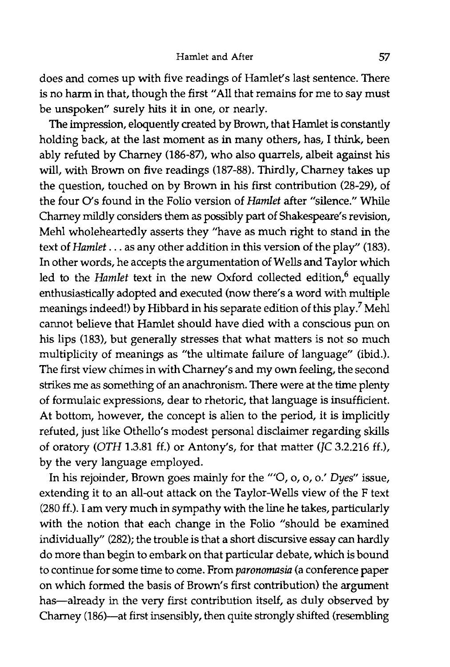does and comes up with five readings of Hamlet's last sentence. There is no harm in that, though the first "All that remains for me to say must be unspoken" surely hits it in one, or nearly.

The impression, eloquently created by Brown, that Hamlet is constantly holding back, at the last moment as in many others, has, I think, been ably refuted by Charney (186-87), who also quarrels, albeit against his will, with Brown on five readings (187-88). Thirdly, Charney takes up the question, touched on by Brown in his first contribution (28-29), of the four O's found in the Folio version of *Hamlet* after "silence." While Charney mildly considers them as possibly part of Shakespeare's revision, Mehl wholeheartedly asserts they "have as much right to stand in the text of *Hamlet .* .. as any other addition in this version of the play" (183). In other words, he accepts the argumentation of Wells and Taylor which led to the *Hamlet* text in the new Oxford collected edition,<sup>6</sup> equally enthusiastically adopted and executed (now there's a word with multiple meanings indeed!) by Hibbard in his separate edition of this play? Mehl cannot believe that Hamlet should have died with a conscious pun on his lips (183), but generally stresses that what matters is not so much multiplicity of meanings as "the ultimate failure of language" (ibid.). The first view chimes in with Chamey's and my own feeling, the second strikes me as something of an anachronism. There were at the time plenty of formulaic expressions, dear to rhetoric, that language is insufficient. At bottom, however, the concept is alien to the period, it is implicitly refuted, just like Othello's modest personal disclaimer regarding skills of oratory *(OTH 1.3.81 ff.)* or Antony's, for that matter *(JC 3.2.216 ff.)*, by the very language employed.

In his rejoinder, Brown goes mainly for the *'"O,* 0, 0, 0.' *Dyes"* issue, extending it to an all-out attack on the Taylor-Wells view of the F text (280 ff.). I am very much in sympathy with the line he takes, particularly with the notion that each change in the Folio "should be examined individually" (282); the trouble is that a short discursive essay can hardly do more than begin to embark on that particular debate, which is bound to continue for some time to come. From *paronomasia* (a conference paper on which formed the basis of Brown's first contribution) the argument has-already in the very first contribution itself, as duly observed by Chamey (186)-at first insensibly, then quite strongly shifted (resembling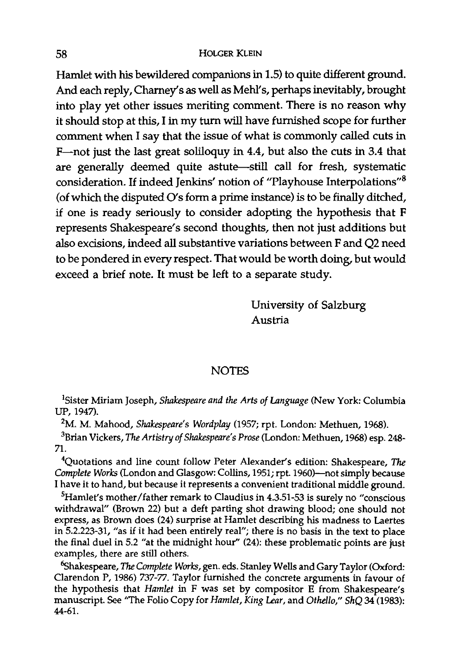## 58 HOLGER KLEIN

Hamlet with his bewildered companions in 1.5) to quite different ground. And each reply, Charney's as well as Mehl's, perhaps inevitably, brought into play yet other issues meriting comment. There is no reason why it should stop at this, I in my turn will have furnished scope for further comment when I say that the issue of what is commonly called cuts in F-not just the last great soliloquy in 4.4, but also the cuts in 3.4 that are generally deemed quite astute-still call for fresh, systematic consideration. If indeed Jenkins' notion of "Playhouse Interpolations"<sup>8</sup> (of which the disputed O's form a prime instance) is to be finally ditched, if one is ready seriously to consider adopting the hypothesis that F represents Shakespeare's second thoughts, then not just additions but also excisions, indeed all substantive variations between F and Q2 need to be pondered in every respect. That would be worth doing, but would exceed a brief note. It must be left to a separate study.

> University of Salzburg Austria

## **NOTES**

ISister Miriam Joseph, *Slulkespeare and the Arts of Language* (New York: Columbia UP,1947).

2M. M. Mahood, *Shakespeare's Wordplay* (1957; rpt. London: Methuen, 1968).

3Brian Vickers, *The Artistry of Slulkespeare's Prose* (London: Methuen, 1968) esp. 248- 71.

4Quotations and line count follow Peter Alexander's edition: Shakespeare, *The*  Complete Works (London and Glasgow: Collins, 1951; rpt. 1960)-not simply because I have it to hand, but because it represents a convenient traditional middle ground.

<sup>5</sup>Hamlet's mother/father remark to Claudius in 4.3.51-53 is surely no "conscious withdrawal" (Brown 22) but a deft parting shot drawing blood; one should not express, as Brown does (24) surprise at Hamlet describing his madness to Laertes in 5.2.223-31, "as if it had been entirely real"; there is no basis in the text to place the final duel in 5.2 "at the midnight hour" (24): these problematic points are just examples, there are still others.

<sup>6</sup>Shakespeare, *The Complete Works*, gen. eds. Stanley Wells and Gary Taylor (Oxford: Clarendon P, 1986) 737-77. Taylor furnished the concrete arguments in favour of the hypothesis that *Hamlet* in F was set by compositor E from Shakespeare's manuscript. See "The Folio Copy for *Hamlet, King Lear,* and *Othello," ShQ* 34 (1983): 44-61.